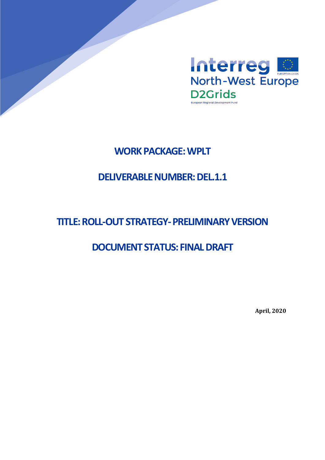

# **WORK PACKAGE: WPLT**

# **DELIVERABLE NUMBER: DEL.1.1**

# **TITLE: ROLL-OUT STRATEGY-PRELIMINARY VERSION**

# **DOCUMENT STATUS: FINAL DRAFT**

**April, 2020**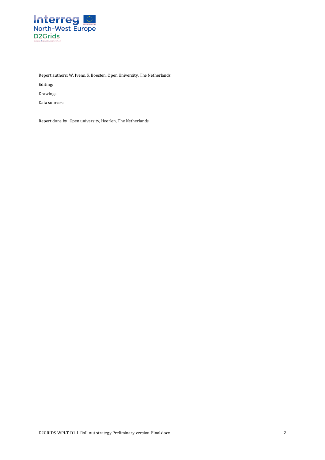

Report authors: W. Ivens, S. Boesten. Open University, The Netherlands

Editing:

Drawings:

Data sources:

Report done by: Open university, Heerlen, The Netherlands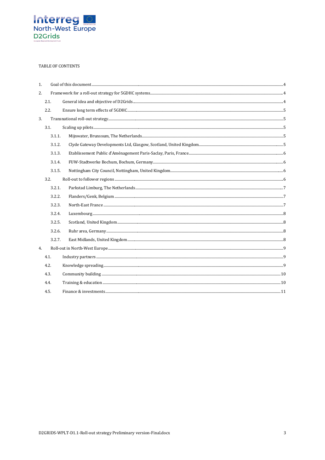

#### TABLE OF CONTENTS

| 1. |        |  |
|----|--------|--|
| 2. |        |  |
|    | 2.1.   |  |
|    | 2.2.   |  |
| 3. |        |  |
|    | 3.1.   |  |
|    | 3.1.1. |  |
|    | 3.1.2. |  |
|    | 3.1.3. |  |
|    | 3.1.4. |  |
|    | 3.1.5. |  |
|    | 3.2.   |  |
|    | 3.2.1. |  |
|    | 3.2.2. |  |
|    | 3.2.3. |  |
|    | 3.2.4. |  |
|    | 3.2.5. |  |
|    | 3.2.6. |  |
|    | 3.2.7. |  |
| 4. |        |  |
|    | 4.1.   |  |
|    | 4.2.   |  |
|    | 4.3.   |  |
|    | 4.4.   |  |
|    | 4.5.   |  |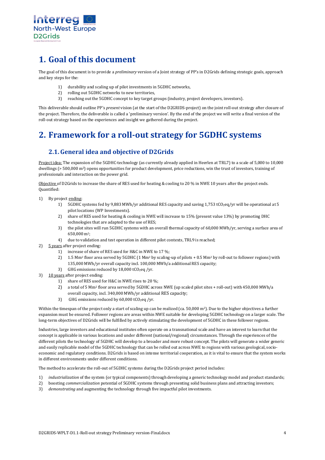

# <span id="page-3-0"></span>**1. Goal of this document**

The goal of this document is to provide a *preliminary* version of a Joint strategy of PP's in D2Grids defining strategic goals, approach and key steps for the:

- 1) durability and scaling up of pilot investments in 5GDHC networks,
- 2) rolling out 5GDHC networks to new territories,<br>3) reaching out the 5GDHC concept to key target g
- reaching out the 5GDHC concept to key target groups (industry, project developers, investors).

This deliverable should outline PP's *present* vision (at the start of the D2GRIDS-project) on the joint roll-out strategy after closure of the project. Therefore, the deliverable is called a 'preliminary version'. By the end of the project we will write a final version of the roll-out strategy based on the experiences and insight we gathered during the project.

# <span id="page-3-1"></span>**2. Framework for a roll-out strategy for 5GDHC systems**

#### <span id="page-3-2"></span>**2.1.General idea and objective of D2Grids**

Project idea: The expansion of the 5GDHC-technology (as currently already applied in Heerlen at TRL7) to a scale of 5,000 to 10,000 dwellings (> 500,000 m2) opens opportunities for product development, price reductions, win the trust of investors, training of professionals and interaction on the power grid.

Objective of D2Grids to increase the share of RES used for heating & cooling to 20 % in NWE 10 years after the project ends. Quantified:

- 1) By project ending:
	- 1) 5GDHC systems fed by 9,883 MWh/yr additional RES capacity and saving 1,753 tCO<sub>2</sub>eq/yr will be operational at 5 pilot locations (WP Investments).
	- 2) share of RES used for heating & cooling in NWE will increase to 15% (present value 13%) by promoting DHC technologies that are adapted to the use of RES;
	- 3) the pilot sites will run 5GDHC systems with an overall thermal capacity of 60,000 MWh/yr, serving a surface area of 650,000 m2;
	- 4) due to validation and test operation in different pilot contexts, TRL9 is reached;
- 2) 5 years after project ending:
	- 1) increase of share of RES used for H&C in NWE to 17 %;
	- 2) 1.5 Mm<sup>2</sup> floor area served by 5GDHC (1 Mm<sup>2</sup> by scaling-up of pilots + 0.5 Mm<sup>2</sup> by roll-out to follower regions) with 135,000 MWh/yr overall capacity incl. 100,000 MWh/a additional RES capacity;
	- 3) GHG emissions reduced by  $18,000$  tCO<sub>2</sub>eq /yr.
- 3) 10 years after project ending:
	- 1) share of RES used for H&C in NWE rises to 20 %;
	- 2) a total of 5 Mm2 floor area served by 5GDHC across NWE (up scaled pilot sites + roll-out) with 450,000 MWh/a overall capacity, incl. 340,000 MWh/yr additional RES capacity;
	- 3) GHG emissions reduced by  $60,000$  tCO<sub>2</sub>eq /yr.

Within the timespan of the project only a start of scaling up can be realized (ca. 50,000  $m^2$ ). Due to the higher objectives a further expansion must be ensured. Follower regions are areas within NWE suitable for developing 5GDHC technology on a larger scale. The long-term objectives of D2Grids will be fulfilled by actively stimulating the development of 5GDHC in these follower regions.

Industries, large investors and educational institutes often operate on a transnational scale and have an interest to learn that the concept is applicable in various locations and under different (national/regional) circumstances. Through the experiences of the different pilots the technology of 5GDHC will develop to a broader and more robust concept. The pilots will generate a wider generic and easily replicable model of the 5GDHC technology that can be rolled out across NWE to regions with various geological, socioeconomic and regulatory conditions. D2Grids is based on intense territorial cooperation, as it is vital to ensure that the system works in different environments under different conditions.

The method to accelerate the roll-out of 5GDHC systems during the D2Grids project period includes:

- 1) *industrialization* of the system (or typical components) through developing a generic technology model and product standards;
- 2) boosting *commercialization* potential of 5GDHC systems through presenting solid business plans and attracting investors;
- 3) *demonstrating* and augmenting the technology through five impactful pilot investments.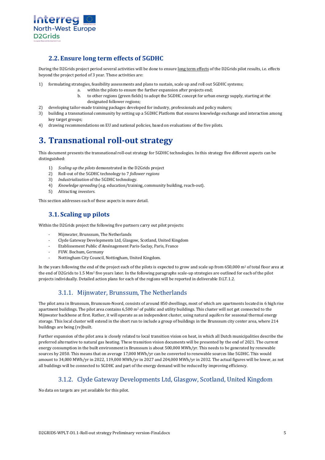

#### <span id="page-4-0"></span>**2.2. Ensure long term effects of 5GDHC**

During the D2Grids project period several activities will be done to ensure long term effects of the D2Grids pilot results, i.e. effects beyond the project period of 3 year. These activities are:

- 1) formulating strategies, feasibility assessments and plans to sustain, scale up and roll out 5GDHC systems;
	- a. within the pilots to ensure the further expansion after projects end;
		- b. to other regions (green fields) to adopt the 5GDHC concept for urban energy supply, starting at the designated follower regions;
- 2) developing tailor-made training packages developed for industry, professionals and policy makers;<br>3) building a transpational community by setting up a 5GDHC Platform that ensures knowledge excha
- 3) building a transnational community by setting up a 5GDHC Platform that ensures knowledge exchange and interaction among key target groups;
- 4) drawing recommendations on EU and national policies, based on evaluations of the five pilots.

# <span id="page-4-1"></span>**3. Transnational roll-out strategy**

This document presents the transnational roll-out strategy for 5GDHC technologies. In this strategy five different aspects can be distinguished:

- 1) *Scaling up the pilots* demonstrated in the D2Grids project
- 2) Roll-out of the 5GDHC technology to 7 *follower regions*
- 
- 3) *Industrialization* of the 5GDHC technology. 4) *Knowledge spreading* (e.g. education/training, community building, reach-out).
- 5) Attracting *investors*.

<span id="page-4-2"></span>This section addresses each of these aspects in more detail.

# **3.1. Scaling up pilots**

Within the D2Grids project the following five partners carry out pilot projects:

- Mijnwater, Brunssum, The Netherlands
- Clyde Gateway Developments Ltd, Glasgow, Scotland, United Kingdom
- Etablissement Public d'Aménagement Paris-Saclay, Paris, France
- FUW. Bochum, Germany
- Nottingham City Council, Nottingham, United Kingdom.

In the years following the end of the project each of the pilots is expected to grow and scale up from 650,000 m<sup>2</sup> of total floor area at the end of D2Grids to 1.5 Mm2 five years later. In the following paragraphs scale-up strategies are outlined for each of the pilot projects individually. Detailed action plans for each of the regions will be reported in deliverable D.LT.1.2.

## 3.1.1. Mijnwater, Brunssum, The Netherlands

<span id="page-4-3"></span>The pilot area in Brunssum, Brunssum-Noord, consists of around 850 dwellings, most of which are apartments located in 6 high rise apartment buildings. The pilot area contains  $6,500$  m<sup>2</sup> of public and utility buildings. This cluster will not get connected to the Mijnwater backbone at first. Rather, it will operate as an independent cluster, using natural aquifers for seasonal thermal energy storage. This local cluster will extend in the short run to include a group of buildings in the Brunssum city center area, where 214 buildings are being (re)built.

Further expansion of the pilot area is closely related to local transition vision on heat, in which all Dutch municipalities describe the preferred alternative to natural gas heating. These transition vision documents will be presented by the end of 2021. The current energy consumption in the built environment in Brunssum is about 500,000 MWh/yr. This needs to be generated by renewable sources by 2050. This means that on average 17,000 MWh/yr can be converted to renewable sources like 5GDHC. This would amount to 34,000 MWh/yr in 2022, 119,000 MWh/yr in 2027 and 204,000 MWh/yr in 2032. The actual figures will be lower, as not all buildings will be connected to 5GDHC and part of the energy demand will be reduced by improving efficiency.

## 3.1.2. Clyde Gateway Developments Ltd, Glasgow, Scotland, United Kingdom

<span id="page-4-4"></span>No data on targets are yet available for this pilot.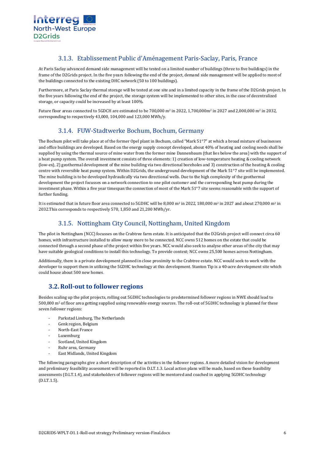

#### 3.1.3. Etablissement Public d'Aménagement Paris-Saclay, Paris, France

<span id="page-5-0"></span>At Paris Saclay advanced demand side management will be tested on a limited number of buildings (three to five buildings) in the frame of the D2Grids project. In the five years following the end of the project, demand side management will be applied to most of the buildings connected to the existing DHC network (50 to 100 buildings).

Furthermore, at Paris Saclay thermal storage will be tested at one site and in a limited capacity in the frame of the D2Grids project. In the five years following the end of the project, the storage system will be implemented to other sites, in the case of decentralized storage, or capacity could be increased by at least 100%.

<span id="page-5-1"></span>Future floor areas connected to 5GDCH are estimated to be 700,000 m<sup>2</sup> in 2022, 1,700,000m<sup>2</sup> in 2027 and 2,000,000 m<sup>2</sup> in 2032. corresponding to respectively 43,000, 104,000 and 123,000 MWh/y.

## 3.1.4. FUW-Stadtwerke Bochum, Bochum, Germany

The Bochum pilot will take place at of the former Opel plant in Bochum, called "Mark 51°7" at which a broad mixture of businesses and office buildings are developed. Based on the energy supply concept developed, about 40% of heating and cooling needs shall be supplied by using the thermal source of mine water from the former mine Dannenbaum (that lies below the area) with the support of a heat pump system. The overall investment consists of three elements: 1) creation of low-temperature heating & cooling network (low-ex), 2) geothermal development of the mine building via two directional boreholes and 3) construction of the heating & cooling centre with reversible heat pump system. Within D2Grids, the underground development of the Mark 51°7 site will be implemented. The mine building is to be developed hydraulically via two directional wells. Due to the high complexity of the geothermal development the project focusses on a network connection to one pilot customer and the corresponding heat pump during the investment phase. Within a five year timespan the connection of most of the Mark 51°7 site seems reasonable with the support of further funding.

<span id="page-5-2"></span>It is estimated that in future floor area connected to 5GDHC will be 8,000 m<sup>2</sup> in 2022, 180,000 m<sup>2</sup> in 2027 and about 270,000 m<sup>2</sup> in 2032.This corresponds to respectively 570, 1,850 and 21,200 MWh/yr.

## 3.1.5. Nottingham City Council, Nottingham, United Kingdom

The pilot in Nottingham (NCC) focusses on the Crabtree farm estate. It is anticipated that the D2Grids project will connect circa 60 homes, with infrastructure installed to allow many more to be connected. NCC owns 512 homes on the estate that could be connected through a second phase of the project within five years. NCC would also seek to analyse other areas of the city that may have suitable geological conditions to install this technology. To provide context; NCC owns 25,500 homes across Nottingham.

Additionally, there is a private development planned in close proximity to the Crabtree estate. NCC would seek to work with the developer to support them in utilizing the 5GDHC technology at this development. Stanton Tip is a 40-acre development site which could house about 500 new homes.

#### <span id="page-5-3"></span>**3.2.Roll-out to follower regions**

Besides scaling up the pilot projects, rolling out 5GDHC technologies to predetermined follower regions in NWE should lead to 500,000 m2 of floor area getting supplied using renewable energy sources. The roll-out of 5GDHC technology is planned for these seven follower regions:

- Parkstad Limburg, The Netherlands
- Genk region, Belgium
- North-East France
- **Luxemburg**
- Scotland, United Kingdom
- Ruhr area, Germany
- East Midlands, United Kingdom

The following paragraphs give a short description of the activities in the follower regions. A more detailed vision for development and preliminary feasibility assessment will be reported in D.LT.1.3. Local action plans will be made, based on these feasibility assessments (D.LT.1.4), and stakeholders of follower regions will be mentored and coached in applying 5GDHC technology (D.LT.1.5).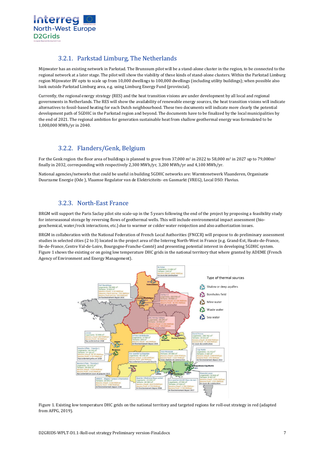

## 3.2.1. Parkstad Limburg, The Netherlands

<span id="page-6-0"></span>Mijnwater has an existing network in Parkstad. The Brunssum pilot will be a stand-alone cluster in the region, to be connected to the regional network at a later stage. The pilot will show the viability of these kinds of stand-alone clusters. Within the Parkstad Limburg region Mijnwater BV opts to scale up from 10,000 dwellings to 100,000 dwellings (including utility buildings); when possible also look outside Parkstad Limburg area, e.g. using Limburg Energy Fund (provincial).

Currently, the regional energy strategy (RES) and the heat transition visions are under development by all local and regional governments in Netherlands. The RES will show the availability of renewable energy sources, the heat transition visions will indicate alternatives to fossil-based heating for each Dutch neighbourhood. These two documents will indicate more clearly the potential development path of 5GDHC in the Parkstad region and beyond. The documents have to be finalized by the local municipalities by the end of 2021. The regional ambition for generation sustainable heat from shallow geothermal energy was formulated to be 1,000,000 MWh/yr in 2040.

# 3.2.2. Flanders/Genk, Belgium

<span id="page-6-1"></span>For the Genk region the floor area of buildings is planned to grow from 37,000 m<sup>2</sup> in 2022 to 58,000 m<sup>2</sup> in 2027 up to 79,000m<sup>2</sup> finally in 2032, corresponding with respectively 2,300 MWh/yr, 3,200 MWh/yr and 4,100 MWh/yr.

National agencies/networks that could be useful in building 5GDHC networks are: Warmtenetwerk Vlaanderen, Organisatie Duurzame Energie (Ode ), Vlaamse Regulator van de Elektriciteits- en Gasmarkt (VREG), Local DSO: Fluvius.

# 3.2.3. North-East France

<span id="page-6-2"></span>BRGM will support the Paris Saclay pilot site scale-up in the 5 years following the end of the project by proposing a feasibility study for interseasonal storage by reversing flows of geothermal wells. This will include environmental impact assessment (biogeochemical, water/rock interactions, etc.) due to warmer or colder water reinjection and also authorization issues.

BRGM in collaboration with the National Federation of French Local Authorities (FNCCR) will propose to do preliminary assessment studies in selected cities (2 to 3) located in the project area of the Interreg North-West in France (e.g. Grand-Est, Hauts-de-France, Ile-de-France, Centre Val-de-Loire, Bourgogne-Franche-Comté) and presenting potential interest in developing 5GDHC system*.*  [Figure 1](#page-6-3) shows the existing or on going low temperature DHC grids in the national territory that where granted by ADEME (French Agency of Environment and Energy Management).



<span id="page-6-3"></span>Figure 1. Existing low temperature DHC grids on the national territory and targeted regions for roll-out strategy in red (adapted from AFPG, 2019).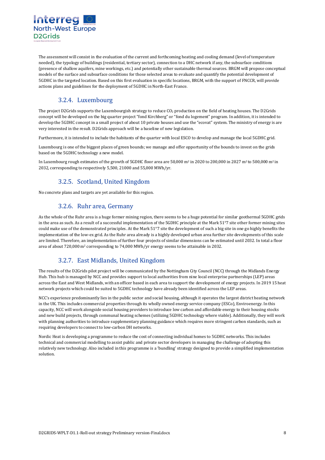

The assessment will consist in the evaluation of the current and forthcoming heating and cooling demand (level of temperature needed), the typology of buildings (residential, tertiary sector), connection to a DHC network if any, the subsurface conditions (presence of shallow aquifers, mine workings, etc.) and potentially other sustainable thermal sources. BRGM will propose conceptual models of the surface and subsurface conditions for those selected areas to evaluate and quantify the potential development of 5GDHC in the targeted location. Based on this first evaluation in specific locations, BRGM, with the support of FNCCR, will provide actions plans and guidelines for the deployment of 5GDHC in North-East France.

# 3.2.4. Luxembourg

<span id="page-7-0"></span>The project D2Grids supports the Luxembourgish strategy to reduce CO<sub>2</sub> production on the field of heating houses. The D2Grids concept will be developed on the big quarter project "fond Kirchberg" or "fond du logement" program. In addition, it is intended to develop the 5GDHC concept in a small project of about 10 private houses and use the "ecovat" system. The ministry of energy is are very interested in the result. D2Grids approach will be a baseline of new legislation.

Furthermore, it is intended to include the habitants of the quarter with local ESCO to develop and manage the local 5GDHC grid.

Luxembourg is one of the biggest places of green bounds; we manage and offer opportunity of the bounds to invest on the grids based on the 5GDHC technology a new model.

<span id="page-7-1"></span>In Luxembourg rough estimates of the growth of 5GDHC floor area are 50,000 m<sup>2</sup> in 2020 to 200,000 in 2027 m<sup>2</sup> to 500,000 m<sup>2</sup> in 2032, corresponding to respectively 5,500, 21000 and 55,000 MWh/yr.

# 3.2.5. Scotland, United Kingdom

<span id="page-7-2"></span>No concrete plans and targets are yet available for this region.

#### 3.2.6. Ruhr area, Germany

As the whole of the Ruhr area is a huge former mining region, there seems to be a huge potential for similar geothermal 5GDHC grids in the area as such. As a result of a successful implementation of the 5GDHC principle at the Mark 51°7 site other former mining sites could make use of the demonstrated principles. At the Mark 51°7 site the development of such a big site in one go highly benefits the implementation of the low-ex grid. As the Ruhr area already is a highly developed urban area further site developments of this scale are limited. Therefore, an implementation of further four projects of similar dimensions can be estimated until 2032. In total a floor area of about 720,000 m2 corresponding to 74,000 MWh/yr energy seems to be attainable in 2032.

## 3.2.7. East Midlands, United Kingdom

<span id="page-7-3"></span>The results of the D2Grids pilot project will be communicated by the Nottingham City Council (NCC) through the Midlands Energy Hub. This hub is managed by NCC and provides support to local authorities from nine local enterprise partnerships (LEP) areas across the East and West Midlands, with an officer based in each area to support the development of energy projects. In 2019 15 heat network projects which could be suited to 5GDHC technology have already been identified across the LEP areas.

NCC's experience predominantly lies in the public sector and social housing, although it operates the largest district heating network in the UK. This includes commercial properties through its wholly owned energy service company (ESCo), Enviroenergy. In this capacity, NCC will work alongside social housing providers to introduce low carbon and affordable energy to their housing stocks and new build projects, through communal heating schemes (utilizing 5GDHC technology where viable). Additionally, they will work with planning authorities to introduce supplementary planning guidance which requires more stringent carbon standards, such as requiring developers to connect to low-carbon DH networks.

Nordic Heat is developing a programme to reduce the cost of connecting individual homes to 5GDHC networks. This includes technical and commercial modelling to assist public and private sector developers in managing the challenge of adopting this relatively new technology. Also included in this programme is a 'bundling' strategy designed to provide a simplified implementation solution.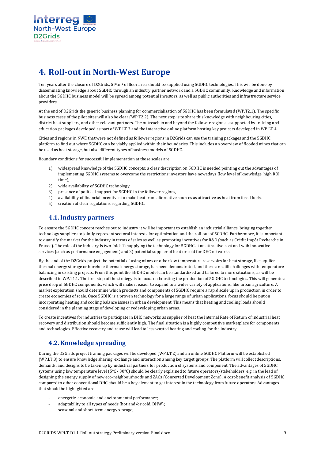

# <span id="page-8-0"></span>**4. Roll-out in North-West Europe**

Ten years after the closure of D2Grids, 5 Mm2 of floor area should be supplied using 5GDHC technologies. This will be done by disseminating knowledge about 5GDHC through an industry partner network and a 5GDHC community. Knowledge and information about the 5GDHC business model will be spread among potential investors, as well as public authorities and infrastructure service providers.

At the end of D2Grids the generic business planning for commercialisation of 5GDHC has been formulated (WP.T2.1). The specific business cases of the pilot sites will also be clear (WP.T2.2). The next step is to share this knowledge with neighbouring cities, district heat suppliers, and other relevant partners. The outreach to and beyond the follower regions is supported by training and education packages developed as part of WP.LT.3 and the interactive online platform hosting key projects developed in WP.LT.4.

Cities and regions in NWE that were not defined as follower regions in D2Grids can use the training packages and the 5GDHC platform to find out where 5GDHC can be viably applied within their boundaries. This includes an overview of flooded mines that can be used as heat storage, but also different types of business models of 5GDHC.

Boundary conditions for successful implementation at these scales are:

- 1) widespread knowledge of the 5GDHC concepts: a clear description on 5GDHC is needed pointing out the advantages of implementing 5GDHC systems to overcome the restrictions investors have nowadays (low level of knowledge, high ROI time),
- 2) wide availability of 5GDHC technology,
- 3) presence of political support for 5GDHC in the follower regions,
- 4) availability of financial incentives to make heat from alternative sources as attractive as heat from fossil fuels,
- 5) creation of clear regulations regarding 5GDHC.

#### <span id="page-8-1"></span>**4.1.Industry partners**

To ensure the 5GDHC concept reaches out to industry it will be important to establish an industrial alliance, bringing together technology suppliers to jointly represent sectoral interests for optimization and the roll-out of 5GDHC. Furthermore, it is important to quantify the market for the industry in terms of sales as well as promoting incentives for R&D (such as Crédit Impôt Recherche in France). The role of the industry is two-fold: 1) supplying the technology for 5GDHC at an attractive cost and with innovative services (such as performance engagement) and 2) potential supplier of heat or cold for DHC networks.

By the end of the D2Grids project the potential of using mines or other low temperature reservoirs for heat storage, like aquifer thermal energy storage or borehole thermal energy storage, has been demonstrated, and there are still challenges with temperature balancing in existing projects. From this point the 5GDHC model can be standardized and tailored to more situations, as will be described in WP.T1.1. The first step of the strategy is to focus on boosting the production of 5GDHC technologies. This will generate a price drop of 5GDHC components, which will make it easier to expand to a wider variety of applications, like urban agriculture. A market exploration should determine which products and components of 5GDHC require a rapid scale up in production in order to create economies of scale. Once 5GDHC is a proven technology for a large range of urban applications, focus should be put on incorporating heating and cooling balance issues in urban development. This means that heating and cooling loads should considered in the planning stage of developing or redeveloping urban areas.

To create incentives for industries to participate in DHC networks as supplier of heat the Internal Rate of Return of industrial heat recovery and distribution should become sufficiently high. The final situation is a highly competitive marketplace for components and technologies. Effective recovery and reuse will lead to less wasted heating and cooling for the industry.

#### <span id="page-8-2"></span>**4.2.Knowledge spreading**

During the D2Grids project training packages will be developed (WP.LT.2) and an online 5GDHC Platform will be established (WP.LT.3) to ensure knowledge sharing, exchange and interaction among key target groups. The platform will collect descriptions, demands, and designs to be taken up by industrial partners for production of systems and component. The advantages of 5GDHC systems using low temperature level (5°C - 30°C) should be clearly explained to future operators/stakeholders, e.g. in the lead of designing the energy supply of new eco-neighbourhoods and ZACs (Concerted Development Zone). A cost-benefit analysis of 5GDHC compared to other conventional DHC should be a key element to get interest in the technology from future operators. Advantages that should be highlighted are:

- energetic, economic and environmental performance;
- adaptability to all types of needs (hot and/or cold, DHW);
- seasonal and short-term energy storage;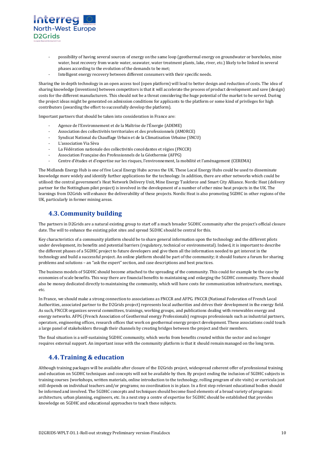

- possibility of having several sources of energy on the same loop (geothermal energy on groundwater or boreholes, mine water, heat recovery from waste water, seawater, water treatment plants, lake, river, etc.) likely to be linked in several phases according to the evolution of the demands to be met;
- Intelligent energy recovery between different consumers with their specific needs.

Sharing the in-depth technology in an open access tool (open platform) will lead to better design and reduction of costs. The idea of sharing knowledge (inventions) between competitors is that it will accelerate the process of product development and save (design) costs for the different manufacturers. This should not be a threat considering the huge potential of the market to be served. During the project ideas might be generated on admission conditions for applicants to the platform or some kind of privileges for high contributors (awarding the effort to successfully develop the platform).

Important partners that should be taken into consideration in France are:

- Agence de l'Environnement et de la Maîtrise de l'Énergie (ADEME)
- Association des collectivités territoriales et des professionnels (AMORCE)
- Syndicat National du Chauffage Urbain et de la Climatisation Urbaine (SNCU)
- L'association Via Sèva
- La Fédération nationale des collectivités concédantes et régies (FNCCR)
- Association Française des Professionnels de la Géothermie (AFPG)
- Centre d'études et d'expertise sur les risques, l'environnement, la mobilité et l'aménagement (CEREMA)

The Midlands Energy Hub is one of five Local Energy Hubs across the UK. These Local Energy Hubs could be used to disseminate knowledge more widely and identify further applications for the technology. In addition, there are other networks which could be utilised: the central government's Heat Network Delivery Unit, Mine Energy Taskforce and Smart City Alliance. Nordic Heat (delivery partner for the Nottingham pilot project) is involved in the development of a number of other mine heat projects in the UK. The learnings from D2Grids will enhance the deliverability of these projects. Nordic Heat is also promoting 5GDHC in other regions of the UK, particularly in former mining areas.

#### <span id="page-9-0"></span>**4.3. Community building**

The partners in D2Grids are a natural existing group to start off a much broader 5GDHC community after the project's official closure date. The will to enhance the existing pilot sites and spread 5GDHC should be central for this.

Key characteristics of a community platform should be to share general information upon the technology and the different pilots under development, its benefits and potential barriers (regulatory, technical or environmental). Indeed, it is important to describe the different phases of a 5GDHC project to future developers and give them all the information needed to get interest in the technology and build a successful project. An online platform should be part of the community; it should feature a forum for sharing problems and solutions – an "ask the expert" section, and case descriptions and best practices.

The business models of 5GDHC should become attached to the spreading of the community. This could for example be the case by economies of scale benefits. This way there are financial benefits to maintaining and enlarging the 5GDHC community. There should also be money dedicated directly to maintaining the community, which will have costs for communication infrastructure, meetings, etc.

In France, we should make a strong connection to associations as FNCCR and AFPG. FNCCR (National Federation of French Local Authorities, associated partner to the D2Grids project) represents local authorities and drives their development in the energy field. As such, FNCCR organizes several committees, trainings, working groups, and publications dealing with renewables energy and energy networks. AFPG (French Association of Geothermal energy Professionals) regroups professionals such as industrial partners, operators, engineering offices, research offices that work on geothermal energy project development. These associations could touch a large panel of stakeholders through their channels by creating bridges between the project and their members.

The final situation is a self-sustaining 5GDHC community, which works from benefits created within the sector and no longer requires external support. An important issue with the community platform is that it should remain managed on the long term.

#### <span id="page-9-1"></span>**4.4.Training & education**

Although training packages will be available after closure of the D2Grids project, widespread coherent offer of professional training and education on 5GDHC techniques and concepts will not be available by then. By project ending the inclusion of 5GDHC subjects in training courses (workshops, written materials, online introduction to the technology, rolling program of site visits) or curricula just still depends on individual teachers and/or programs; no coordination is in place. In a first step relevant educational bodies should be informed and involved. The 5GDHC concepts and techniques should become fixed elements of a broad variety of programs: architecture, urban planning, engineers, etc. In a next step a centre of expertise for 5GDHC should be established that provides knowledge on 5GDHC and educational approaches to teach these subjects.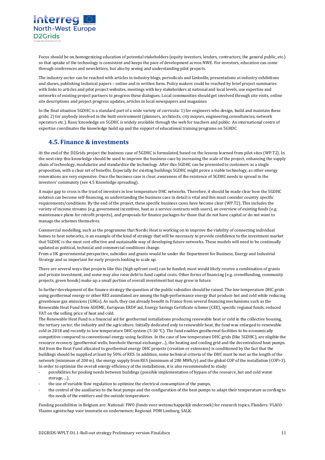

Focus should be on homogenizing education of potential stakeholders (equity investors, lenders, contractors, the general public, etc.) so that uptake of the technology is consistent and keeps the pace of development across NWE. For investors, education can come through conferences and newsletters, but also by seeing and understanding pilot projects.

The industry sector can be reached with articles in industry blogs, periodicals and LinkedIn, presentations at industry exhibitions and shows, publishing technical papers – online and in written form. Policy makers could be reached by brief project summaries with links to articles and pilot project websites, meetings with key stakeholders at national and local levels, use expertise and networks of existing project partners to progress these dialogues. Local communities should get involved through site visits, online site descriptions and project progress updates, articles in local newspapers and magazines

In the final situation 5GDHC is a standard part of a wide variety of curricula: 1) for engineers who design, build and maintain these grids; 2) for anybody involved in the built environment (planners, architects, city mayors, engineering consultancies, network operators etc.). Basic knowledge on 5GDHC is widely available through the web for teachers and public. An international centre of expertise coordinates the knowledge build up and the support of educational training programs on 5GHDC

#### <span id="page-10-0"></span>**4.5. Finance & investments**

At the end of the D2Grids project the business case of 5GDHC is formulated, based on the lessons learned from pilot sites (WP.T2). In the next step this knowledge should be used to improve the business case by increasing the scale of the project, enhancing the supply chain of technology, modularize and standardize the technology. After this 5GDHC can be presented to customers as a single proposition, with a clear set of benefits. Especially for existing buildings 5GDHC might prove a viable technology, as other energy renovations are very expensive. Once the business case is clear, awareness of the existence of 5GDHC needs to spread in the investors' community (see 4.5 Knowledge spreading).

A major gap to cross is the trust of investors in low temperature DHC networks. Therefore, it should be made clear how the 5GDHC solution can become self-financing, so understanding the business case in detail is vital and this must consider country specific requirements/conditions. By the end of the project, these specific business cases have become clear (WP.T2). This includes the variety of income streams (e.g. government incentives, heat as a service contracts with users), an overview of existing funds (e.g. maintenance plans for retrofit projects), and proposals for finance packages for those that do not have capital or do not want to manage the schemes themselves.

Commercial modelling, such as the programme that Nordic Heat is working on to improve the viability of connecting individual homes to heat networks, is an example of the kind of strategy that will be necessary to provide confidence to the investment market that 5GDHC is the most cost effective and sustainable way of developing future networks. These models will need to be continually updated as political, technical and commercial conditions change.

From a UK governmental perspective, subsidies and grants would be under the Department for Business, Energy and Industrial Strategy and so important for early projects looking to scale up.

There are several ways that projects like this (high upfront cost) can be funded; most would likely receive a combination of grants and private investment, and some may also raise debt to fund capital costs. Other forms of financing (e.g. crowdfunding, community projects, green bonds) make up a small portion of overall investment but may grow in future.

In further development of the finance strategy the question of the public subsidies should be raised. The low temperature DHC grids using geothermal energy or other RES assimilated are among the high-performance energy that produce hot and cold while reducing greenhouse gas emissions (GHGs). As such, they can already benefit in France from several financing mechanisms such as the Renewable Heat Fund from ADEME, European ERDF aid, Energy Savings Certificate scheme (CEE), specific regional funds, reduced VAT on the selling price of heat and cold.

The Renewable Heat Fund is a financial aid for geothermal installations producing renewable heat or cold in the collective housing, the tertiary sector, the industry and the agriculture. Initially dedicated only to renewable heat, the fund was enlarged to renewable cold in 2018 and recently to low temperature DHC system (5-30 °C). The fund enables geothermal facilities to be economically competitive compared to conventional energy-using facilities. In the case of low temperature DHC grids (like 5GDHC), are eligible the resource recovery (geothermal wells, borehole thermal exchanger…), the heating and cooling grid and the decentralized heat pumps. Aid from the Heat Fund allocated to geothermal energy DHC projects (creation or extension) is conditioned by the fact that the buildings should be supplied at least by 50% of RES. In addition, some technical criteria of the DHC must be met as the length of the network (minimum of 200 m), the energy supply from RES (minimum of 200 MWh/y) and the global COP of the installation (COP>3). In order to optimize the overall energy efficiency of the installations, it is also recommended to study:

- possibilities for pooling needs between buildings (possible implementation of bypass of the resource, hot and cold water storage, ...),
- the use of variable flow regulation to optimize the electrical consumption of the pumps,
- the control of the auxiliaries to the heat pumps and the configuration of the heat pumps to adapt their temperature according to the needs of the emitters and the outside temperature.

Funding possibilities in Belgium are: National: FWO (fonds voor wetenschappelijk onderzoek) for research topics, Flanders: VLAIO: Vlaams agentschap voor innovatie en ondernemen; Regional: POM Limburg, SALK.